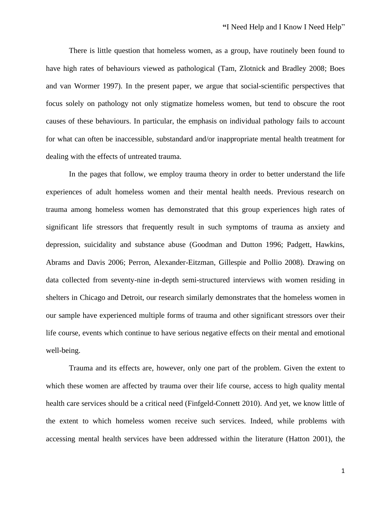There is little question that homeless women, as a group, have routinely been found to have high rates of behaviours viewed as pathological (Tam, Zlotnick and Bradley 2008; Boes and van Wormer 1997). In the present paper, we argue that social-scientific perspectives that focus solely on pathology not only stigmatize homeless women, but tend to obscure the root causes of these behaviours. In particular, the emphasis on individual pathology fails to account for what can often be inaccessible, substandard and/or inappropriate mental health treatment for dealing with the effects of untreated trauma.

In the pages that follow, we employ trauma theory in order to better understand the life experiences of adult homeless women and their mental health needs. Previous research on trauma among homeless women has demonstrated that this group experiences high rates of significant life stressors that frequently result in such symptoms of trauma as anxiety and depression, suicidality and substance abuse (Goodman and Dutton 1996; Padgett, Hawkins, Abrams and Davis 2006; Perron, Alexander-Eitzman, Gillespie and Pollio 2008). Drawing on data collected from seventy-nine in-depth semi-structured interviews with women residing in shelters in Chicago and Detroit, our research similarly demonstrates that the homeless women in our sample have experienced multiple forms of trauma and other significant stressors over their life course, events which continue to have serious negative effects on their mental and emotional well-being.

Trauma and its effects are, however, only one part of the problem. Given the extent to which these women are affected by trauma over their life course, access to high quality mental health care services should be a critical need (Finfgeld-Connett 2010). And yet, we know little of the extent to which homeless women receive such services. Indeed, while problems with accessing mental health services have been addressed within the literature (Hatton 2001), the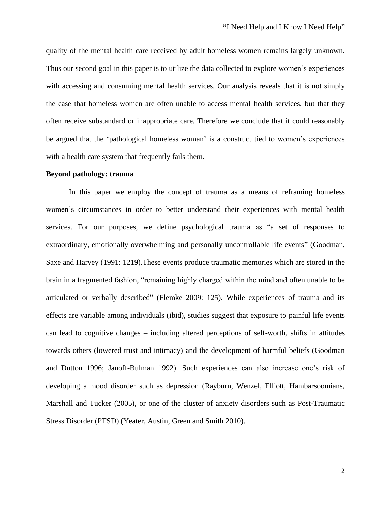quality of the mental health care received by adult homeless women remains largely unknown. Thus our second goal in this paper is to utilize the data collected to explore women's experiences with accessing and consuming mental health services. Our analysis reveals that it is not simply the case that homeless women are often unable to access mental health services, but that they often receive substandard or inappropriate care. Therefore we conclude that it could reasonably be argued that the 'pathological homeless woman' is a construct tied to women's experiences with a health care system that frequently fails them.

### **Beyond pathology: trauma**

In this paper we employ the concept of trauma as a means of reframing homeless women's circumstances in order to better understand their experiences with mental health services. For our purposes, we define psychological trauma as "a set of responses to extraordinary, emotionally overwhelming and personally uncontrollable life events" (Goodman, Saxe and Harvey (1991: 1219).These events produce traumatic memories which are stored in the brain in a fragmented fashion, "remaining highly charged within the mind and often unable to be articulated or verbally described" (Flemke 2009: 125). While experiences of trauma and its effects are variable among individuals (ibid), studies suggest that exposure to painful life events can lead to cognitive changes – including altered perceptions of self-worth, shifts in attitudes towards others (lowered trust and intimacy) and the development of harmful beliefs (Goodman and Dutton 1996; Janoff-Bulman 1992). Such experiences can also increase one's risk of developing a mood disorder such as depression (Rayburn, Wenzel, Elliott, Hambarsoomians, Marshall and Tucker (2005), or one of the cluster of anxiety disorders such as Post-Traumatic Stress Disorder (PTSD) (Yeater, Austin, Green and Smith 2010).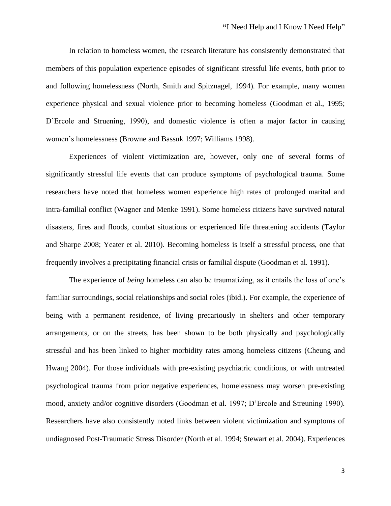In relation to homeless women, the research literature has consistently demonstrated that members of this population experience episodes of significant stressful life events, both prior to and following homelessness (North, Smith and Spitznagel, 1994). For example, many women experience physical and sexual violence prior to becoming homeless (Goodman et al., 1995; D'Ercole and Struening, 1990), and domestic violence is often a major factor in causing women's homelessness (Browne and Bassuk 1997; Williams 1998).

Experiences of violent victimization are, however, only one of several forms of significantly stressful life events that can produce symptoms of psychological trauma. Some researchers have noted that homeless women experience high rates of prolonged marital and intra-familial conflict (Wagner and Menke 1991). Some homeless citizens have survived natural disasters, fires and floods, combat situations or experienced life threatening accidents (Taylor and Sharpe 2008; Yeater et al. 2010). Becoming homeless is itself a stressful process, one that frequently involves a precipitating financial crisis or familial dispute (Goodman et al. 1991).

The experience of *being* homeless can also be traumatizing, as it entails the loss of one's familiar surroundings, social relationships and social roles (ibid.). For example, the experience of being with a permanent residence, of living precariously in shelters and other temporary arrangements, or on the streets, has been shown to be both physically and psychologically stressful and has been linked to higher morbidity rates among homeless citizens (Cheung and Hwang 2004). For those individuals with pre-existing psychiatric conditions, or with untreated psychological trauma from prior negative experiences, homelessness may worsen pre-existing mood, anxiety and/or cognitive disorders (Goodman et al. 1997; D'Ercole and Streuning 1990). Researchers have also consistently noted links between violent victimization and symptoms of undiagnosed Post-Traumatic Stress Disorder (North et al. 1994; Stewart et al. 2004). Experiences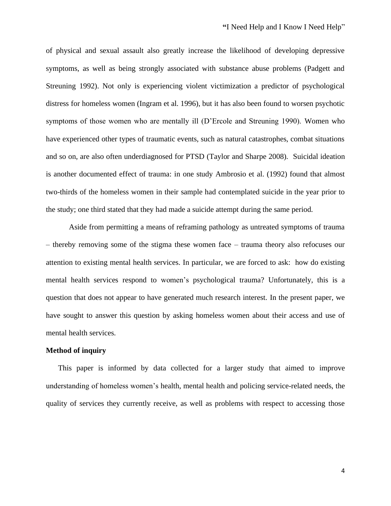of physical and sexual assault also greatly increase the likelihood of developing depressive symptoms, as well as being strongly associated with substance abuse problems (Padgett and Streuning 1992). Not only is experiencing violent victimization a predictor of psychological distress for homeless women (Ingram et al. 1996), but it has also been found to worsen psychotic symptoms of those women who are mentally ill (D'Ercole and Streuning 1990). Women who have experienced other types of traumatic events, such as natural catastrophes, combat situations and so on, are also often underdiagnosed for PTSD (Taylor and Sharpe 2008). Suicidal ideation is another documented effect of trauma: in one study Ambrosio et al. (1992) found that almost two-thirds of the homeless women in their sample had contemplated suicide in the year prior to the study; one third stated that they had made a suicide attempt during the same period.

Aside from permitting a means of reframing pathology as untreated symptoms of trauma – thereby removing some of the stigma these women face – trauma theory also refocuses our attention to existing mental health services. In particular, we are forced to ask: how do existing mental health services respond to women's psychological trauma? Unfortunately, this is a question that does not appear to have generated much research interest. In the present paper, we have sought to answer this question by asking homeless women about their access and use of mental health services.

### **Method of inquiry**

This paper is informed by data collected for a larger study that aimed to improve understanding of homeless women's health, mental health and policing service-related needs, the quality of services they currently receive, as well as problems with respect to accessing those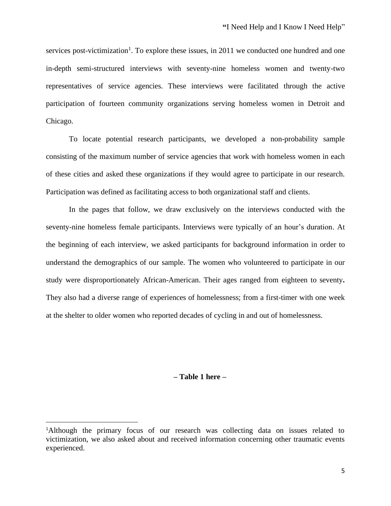services post-victimization<sup>1</sup>. To explore these issues, in 2011 we conducted one hundred and one in-depth semi-structured interviews with seventy-nine homeless women and twenty-two representatives of service agencies. These interviews were facilitated through the active participation of fourteen community organizations serving homeless women in Detroit and Chicago.

To locate potential research participants, we developed a non-probability sample consisting of the maximum number of service agencies that work with homeless women in each of these cities and asked these organizations if they would agree to participate in our research. Participation was defined as facilitating access to both organizational staff and clients.

In the pages that follow, we draw exclusively on the interviews conducted with the seventy-nine homeless female participants. Interviews were typically of an hour's duration. At the beginning of each interview, we asked participants for background information in order to understand the demographics of our sample. The women who volunteered to participate in our study were disproportionately African-American. Their ages ranged from eighteen to seventy**.** They also had a diverse range of experiences of homelessness; from a first-timer with one week at the shelter to older women who reported decades of cycling in and out of homelessness.

# **– Table 1 here –**

<sup>&</sup>lt;sup>1</sup>Although the primary focus of our research was collecting data on issues related to victimization, we also asked about and received information concerning other traumatic events experienced.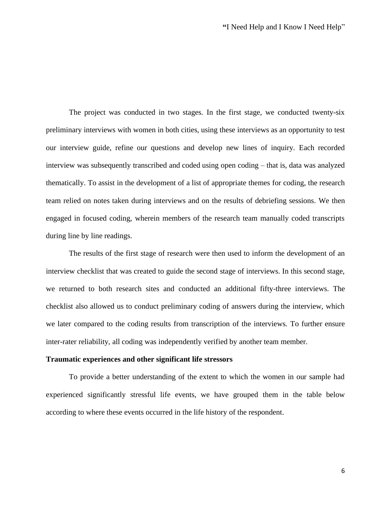The project was conducted in two stages. In the first stage, we conducted twenty-six preliminary interviews with women in both cities, using these interviews as an opportunity to test our interview guide, refine our questions and develop new lines of inquiry. Each recorded interview was subsequently transcribed and coded using open coding – that is, data was analyzed thematically. To assist in the development of a list of appropriate themes for coding, the research team relied on notes taken during interviews and on the results of debriefing sessions. We then engaged in focused coding, wherein members of the research team manually coded transcripts during line by line readings.

The results of the first stage of research were then used to inform the development of an interview checklist that was created to guide the second stage of interviews. In this second stage, we returned to both research sites and conducted an additional fifty-three interviews. The checklist also allowed us to conduct preliminary coding of answers during the interview, which we later compared to the coding results from transcription of the interviews. To further ensure inter-rater reliability, all coding was independently verified by another team member.

#### **Traumatic experiences and other significant life stressors**

To provide a better understanding of the extent to which the women in our sample had experienced significantly stressful life events, we have grouped them in the table below according to where these events occurred in the life history of the respondent.

6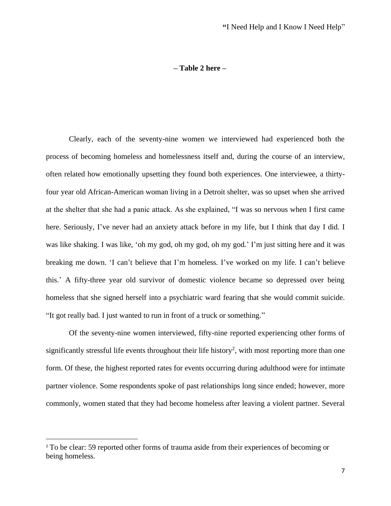### **– Table 2 here –**

Clearly, each of the seventy-nine women we interviewed had experienced both the process of becoming homeless and homelessness itself and, during the course of an interview, often related how emotionally upsetting they found both experiences. One interviewee, a thirtyfour year old African-American woman living in a Detroit shelter, was so upset when she arrived at the shelter that she had a panic attack. As she explained, "I was so nervous when I first came here. Seriously, I've never had an anxiety attack before in my life, but I think that day I did. I was like shaking. I was like, 'oh my god, oh my god, oh my god.' I'm just sitting here and it was breaking me down. 'I can't believe that I'm homeless. I've worked on my life. I can't believe this.' A fifty-three year old survivor of domestic violence became so depressed over being homeless that she signed herself into a psychiatric ward fearing that she would commit suicide. "It got really bad. I just wanted to run in front of a truck or something."

Of the seventy-nine women interviewed, fifty-nine reported experiencing other forms of significantly stressful life events throughout their life history<sup>2</sup>, with most reporting more than one form. Of these, the highest reported rates for events occurring during adulthood were for intimate partner violence. Some respondents spoke of past relationships long since ended; however, more commonly, women stated that they had become homeless after leaving a violent partner. Several

<sup>&</sup>lt;sup>2</sup> To be clear: 59 reported other forms of trauma aside from their experiences of becoming or being homeless.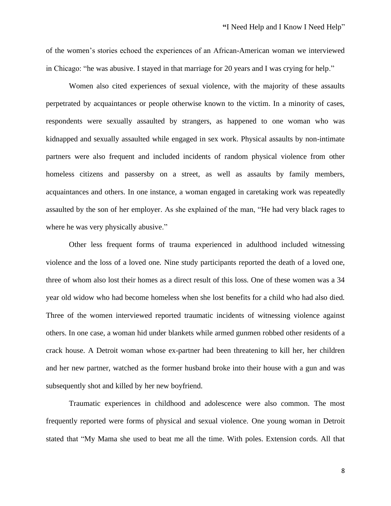of the women's stories echoed the experiences of an African-American woman we interviewed in Chicago: "he was abusive. I stayed in that marriage for 20 years and I was crying for help."

Women also cited experiences of sexual violence, with the majority of these assaults perpetrated by acquaintances or people otherwise known to the victim. In a minority of cases, respondents were sexually assaulted by strangers, as happened to one woman who was kidnapped and sexually assaulted while engaged in sex work. Physical assaults by non-intimate partners were also frequent and included incidents of random physical violence from other homeless citizens and passersby on a street, as well as assaults by family members, acquaintances and others. In one instance, a woman engaged in caretaking work was repeatedly assaulted by the son of her employer. As she explained of the man, "He had very black rages to where he was very physically abusive."

Other less frequent forms of trauma experienced in adulthood included witnessing violence and the loss of a loved one. Nine study participants reported the death of a loved one, three of whom also lost their homes as a direct result of this loss. One of these women was a 34 year old widow who had become homeless when she lost benefits for a child who had also died. Three of the women interviewed reported traumatic incidents of witnessing violence against others. In one case, a woman hid under blankets while armed gunmen robbed other residents of a crack house. A Detroit woman whose ex-partner had been threatening to kill her, her children and her new partner, watched as the former husband broke into their house with a gun and was subsequently shot and killed by her new boyfriend.

Traumatic experiences in childhood and adolescence were also common. The most frequently reported were forms of physical and sexual violence. One young woman in Detroit stated that "My Mama she used to beat me all the time. With poles. Extension cords. All that

8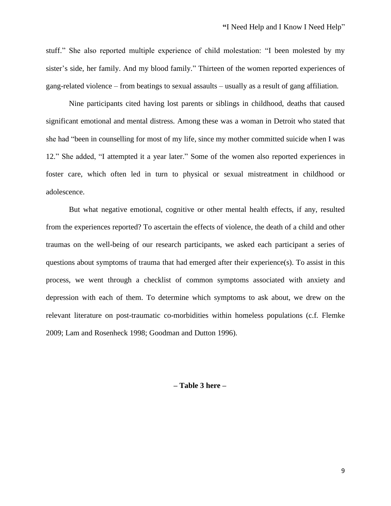stuff." She also reported multiple experience of child molestation: "I been molested by my sister's side, her family. And my blood family." Thirteen of the women reported experiences of gang-related violence – from beatings to sexual assaults – usually as a result of gang affiliation.

Nine participants cited having lost parents or siblings in childhood, deaths that caused significant emotional and mental distress. Among these was a woman in Detroit who stated that she had "been in counselling for most of my life, since my mother committed suicide when I was 12." She added, "I attempted it a year later." Some of the women also reported experiences in foster care, which often led in turn to physical or sexual mistreatment in childhood or adolescence.

But what negative emotional, cognitive or other mental health effects, if any, resulted from the experiences reported? To ascertain the effects of violence, the death of a child and other traumas on the well-being of our research participants, we asked each participant a series of questions about symptoms of trauma that had emerged after their experience(s). To assist in this process, we went through a checklist of common symptoms associated with anxiety and depression with each of them. To determine which symptoms to ask about, we drew on the relevant literature on post-traumatic co-morbidities within homeless populations (c.f. Flemke 2009; Lam and Rosenheck 1998; Goodman and Dutton 1996).

### **– Table 3 here –**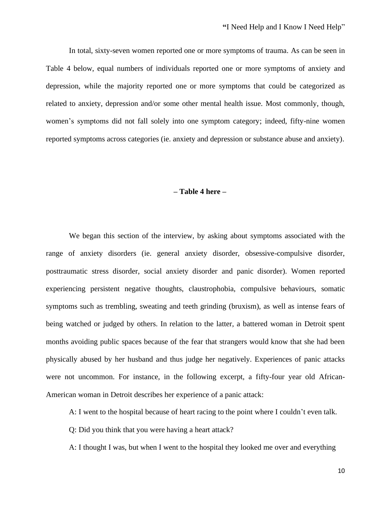In total, sixty-seven women reported one or more symptoms of trauma. As can be seen in Table 4 below, equal numbers of individuals reported one or more symptoms of anxiety and depression, while the majority reported one or more symptoms that could be categorized as related to anxiety, depression and/or some other mental health issue. Most commonly, though, women's symptoms did not fall solely into one symptom category; indeed, fifty-nine women reported symptoms across categories (ie. anxiety and depression or substance abuse and anxiety).

# **– Table 4 here –**

We began this section of the interview, by asking about symptoms associated with the range of anxiety disorders (ie. general anxiety disorder, obsessive-compulsive disorder, posttraumatic stress disorder, social anxiety disorder and panic disorder). Women reported experiencing persistent negative thoughts, claustrophobia, compulsive behaviours, somatic symptoms such as trembling, sweating and teeth grinding (bruxism), as well as intense fears of being watched or judged by others. In relation to the latter, a battered woman in Detroit spent months avoiding public spaces because of the fear that strangers would know that she had been physically abused by her husband and thus judge her negatively. Experiences of panic attacks were not uncommon. For instance, in the following excerpt, a fifty-four year old African-American woman in Detroit describes her experience of a panic attack:

A: I went to the hospital because of heart racing to the point where I couldn't even talk.

Q: Did you think that you were having a heart attack?

A: I thought I was, but when I went to the hospital they looked me over and everything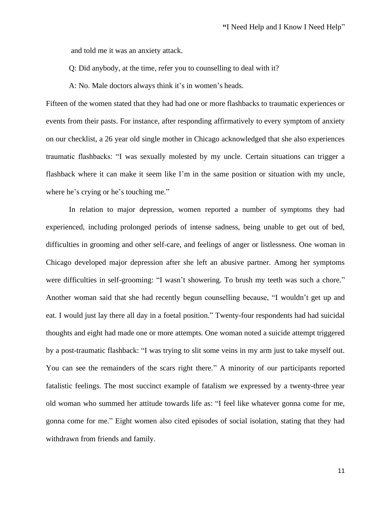and told me it was an anxiety attack.

Q: Did anybody, at the time, refer you to counselling to deal with it?

A: No. Male doctors always think it's in women's heads.

Fifteen of the women stated that they had had one or more flashbacks to traumatic experiences or events from their pasts. For instance, after responding affirmatively to every symptom of anxiety on our checklist, a 26 year old single mother in Chicago acknowledged that she also experiences traumatic flashbacks: "I was sexually molested by my uncle. Certain situations can trigger a flashback where it can make it seem like I'm in the same position or situation with my uncle, where he's crying or he's touching me."

In relation to major depression, women reported a number of symptoms they had experienced, including prolonged periods of intense sadness, being unable to get out of bed, difficulties in grooming and other self-care, and feelings of anger or listlessness. One woman in Chicago developed major depression after she left an abusive partner. Among her symptoms were difficulties in self-grooming: "I wasn't showering. To brush my teeth was such a chore." Another woman said that she had recently begun counselling because, "I wouldn't get up and eat. I would just lay there all day in a foetal position." Twenty-four respondents had had suicidal thoughts and eight had made one or more attempts. One woman noted a suicide attempt triggered by a post-traumatic flashback: "I was trying to slit some veins in my arm just to take myself out. You can see the remainders of the scars right there." A minority of our participants reported fatalistic feelings. The most succinct example of fatalism we expressed by a twenty-three year old woman who summed her attitude towards life as: "I feel like whatever gonna come for me, gonna come for me." Eight women also cited episodes of social isolation, stating that they had withdrawn from friends and family.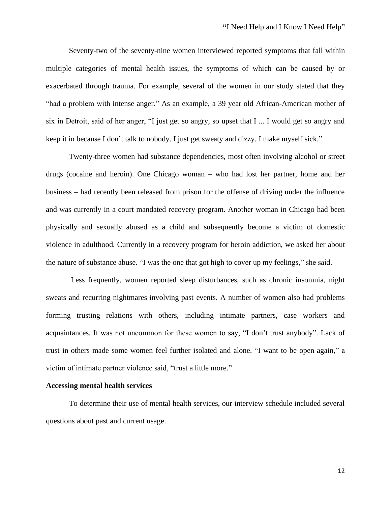Seventy-two of the seventy-nine women interviewed reported symptoms that fall within multiple categories of mental health issues, the symptoms of which can be caused by or exacerbated through trauma. For example, several of the women in our study stated that they "had a problem with intense anger." As an example, a 39 year old African-American mother of six in Detroit, said of her anger, "I just get so angry, so upset that I ... I would get so angry and keep it in because I don't talk to nobody. I just get sweaty and dizzy. I make myself sick."

Twenty-three women had substance dependencies, most often involving alcohol or street drugs (cocaine and heroin). One Chicago woman – who had lost her partner, home and her business – had recently been released from prison for the offense of driving under the influence and was currently in a court mandated recovery program. Another woman in Chicago had been physically and sexually abused as a child and subsequently become a victim of domestic violence in adulthood. Currently in a recovery program for heroin addiction, we asked her about the nature of substance abuse. "I was the one that got high to cover up my feelings," she said.

Less frequently, women reported sleep disturbances, such as chronic insomnia, night sweats and recurring nightmares involving past events. A number of women also had problems forming trusting relations with others, including intimate partners, case workers and acquaintances. It was not uncommon for these women to say, "I don't trust anybody". Lack of trust in others made some women feel further isolated and alone. "I want to be open again," a victim of intimate partner violence said, "trust a little more."

#### **Accessing mental health services**

To determine their use of mental health services, our interview schedule included several questions about past and current usage.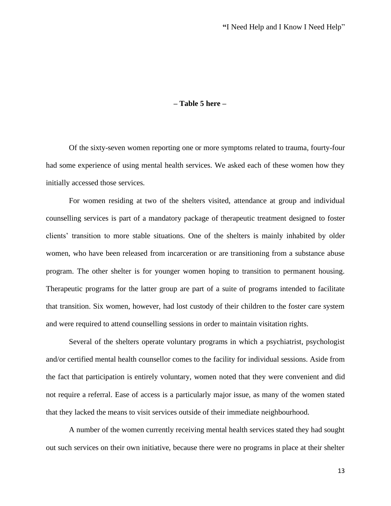### **– Table 5 here –**

Of the sixty-seven women reporting one or more symptoms related to trauma, fourty-four had some experience of using mental health services. We asked each of these women how they initially accessed those services.

For women residing at two of the shelters visited, attendance at group and individual counselling services is part of a mandatory package of therapeutic treatment designed to foster clients' transition to more stable situations. One of the shelters is mainly inhabited by older women, who have been released from incarceration or are transitioning from a substance abuse program. The other shelter is for younger women hoping to transition to permanent housing. Therapeutic programs for the latter group are part of a suite of programs intended to facilitate that transition. Six women, however, had lost custody of their children to the foster care system and were required to attend counselling sessions in order to maintain visitation rights.

Several of the shelters operate voluntary programs in which a psychiatrist, psychologist and/or certified mental health counsellor comes to the facility for individual sessions. Aside from the fact that participation is entirely voluntary, women noted that they were convenient and did not require a referral. Ease of access is a particularly major issue, as many of the women stated that they lacked the means to visit services outside of their immediate neighbourhood.

A number of the women currently receiving mental health services stated they had sought out such services on their own initiative, because there were no programs in place at their shelter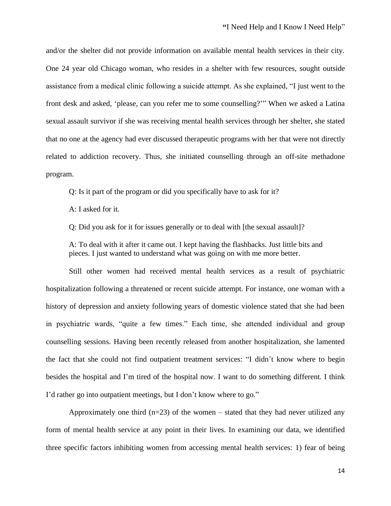and/or the shelter did not provide information on available mental health services in their city. One 24 year old Chicago woman, who resides in a shelter with few resources, sought outside assistance from a medical clinic following a suicide attempt. As she explained, "I just went to the front desk and asked, 'please, can you refer me to some counselling?'" When we asked a Latina sexual assault survivor if she was receiving mental health services through her shelter, she stated that no one at the agency had ever discussed therapeutic programs with her that were not directly related to addiction recovery. Thus, she initiated counselling through an off-site methadone program.

Q: Is it part of the program or did you specifically have to ask for it?

A: I asked for it.

Q: Did you ask for it for issues generally or to deal with [the sexual assault]?

A: To deal with it after it came out. I kept having the flashbacks. Just little bits and pieces. I just wanted to understand what was going on with me more better.

Still other women had received mental health services as a result of psychiatric hospitalization following a threatened or recent suicide attempt. For instance, one woman with a history of depression and anxiety following years of domestic violence stated that she had been in psychiatric wards, "quite a few times." Each time, she attended individual and group counselling sessions. Having been recently released from another hospitalization, she lamented the fact that she could not find outpatient treatment services: "I didn't know where to begin besides the hospital and I'm tired of the hospital now. I want to do something different. I think I'd rather go into outpatient meetings, but I don't know where to go."

Approximately one third  $(n=23)$  of the women – stated that they had never utilized any form of mental health service at any point in their lives. In examining our data, we identified three specific factors inhibiting women from accessing mental health services: 1) fear of being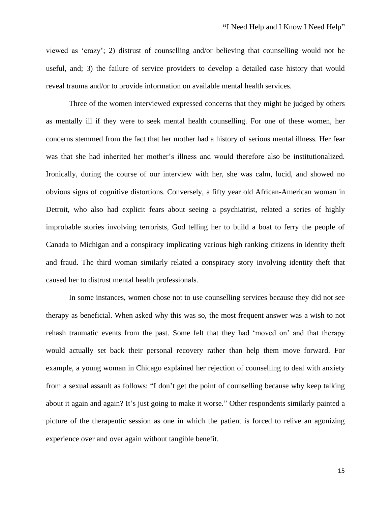viewed as 'crazy'; 2) distrust of counselling and/or believing that counselling would not be useful, and; 3) the failure of service providers to develop a detailed case history that would reveal trauma and/or to provide information on available mental health services.

Three of the women interviewed expressed concerns that they might be judged by others as mentally ill if they were to seek mental health counselling. For one of these women, her concerns stemmed from the fact that her mother had a history of serious mental illness. Her fear was that she had inherited her mother's illness and would therefore also be institutionalized. Ironically, during the course of our interview with her, she was calm, lucid, and showed no obvious signs of cognitive distortions. Conversely, a fifty year old African-American woman in Detroit, who also had explicit fears about seeing a psychiatrist, related a series of highly improbable stories involving terrorists, God telling her to build a boat to ferry the people of Canada to Michigan and a conspiracy implicating various high ranking citizens in identity theft and fraud. The third woman similarly related a conspiracy story involving identity theft that caused her to distrust mental health professionals.

In some instances, women chose not to use counselling services because they did not see therapy as beneficial. When asked why this was so, the most frequent answer was a wish to not rehash traumatic events from the past. Some felt that they had 'moved on' and that therapy would actually set back their personal recovery rather than help them move forward. For example, a young woman in Chicago explained her rejection of counselling to deal with anxiety from a sexual assault as follows: "I don't get the point of counselling because why keep talking about it again and again? It's just going to make it worse." Other respondents similarly painted a picture of the therapeutic session as one in which the patient is forced to relive an agonizing experience over and over again without tangible benefit.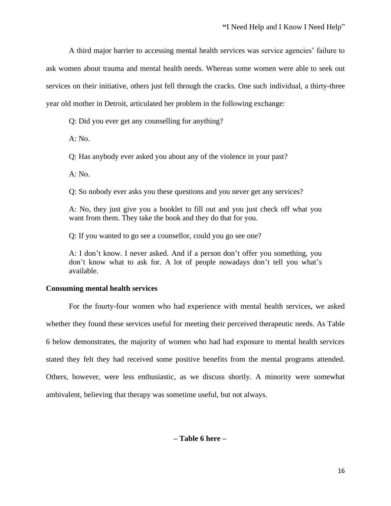A third major barrier to accessing mental health services was service agencies' failure to ask women about trauma and mental health needs. Whereas some women were able to seek out services on their initiative, others just fell through the cracks. One such individual, a thirty-three year old mother in Detroit, articulated her problem in the following exchange:

Q: Did you ever get any counselling for anything?

A: No.

Q: Has anybody ever asked you about any of the violence in your past?

A: No.

Q: So nobody ever asks you these questions and you never get any services?

A: No, they just give you a booklet to fill out and you just check off what you want from them. They take the book and they do that for you.

Q: If you wanted to go see a counsellor, could you go see one?

A: I don't know. I never asked. And if a person don't offer you something, you don't know what to ask for. A lot of people nowadays don't tell you what's available.

# **Consuming mental health services**

For the fourty-four women who had experience with mental health services, we asked whether they found these services useful for meeting their perceived therapeutic needs. As Table 6 below demonstrates, the majority of women who had had exposure to mental health services stated they felt they had received some positive benefits from the mental programs attended. Others, however, were less enthusiastic, as we discuss shortly. A minority were somewhat ambivalent, believing that therapy was sometime useful, but not always.

**– Table 6 here –**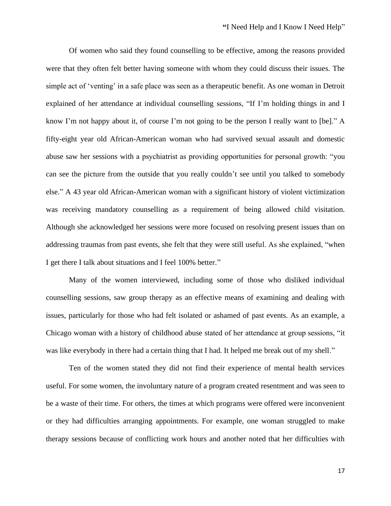Of women who said they found counselling to be effective, among the reasons provided were that they often felt better having someone with whom they could discuss their issues. The simple act of 'venting' in a safe place was seen as a therapeutic benefit. As one woman in Detroit explained of her attendance at individual counselling sessions, "If I'm holding things in and I know I'm not happy about it, of course I'm not going to be the person I really want to [be]." A fifty-eight year old African-American woman who had survived sexual assault and domestic abuse saw her sessions with a psychiatrist as providing opportunities for personal growth: "you can see the picture from the outside that you really couldn't see until you talked to somebody else." A 43 year old African-American woman with a significant history of violent victimization was receiving mandatory counselling as a requirement of being allowed child visitation. Although she acknowledged her sessions were more focused on resolving present issues than on addressing traumas from past events, she felt that they were still useful. As she explained, "when I get there I talk about situations and I feel 100% better."

Many of the women interviewed, including some of those who disliked individual counselling sessions, saw group therapy as an effective means of examining and dealing with issues, particularly for those who had felt isolated or ashamed of past events. As an example, a Chicago woman with a history of childhood abuse stated of her attendance at group sessions, "it was like everybody in there had a certain thing that I had. It helped me break out of my shell."

Ten of the women stated they did not find their experience of mental health services useful. For some women, the involuntary nature of a program created resentment and was seen to be a waste of their time. For others, the times at which programs were offered were inconvenient or they had difficulties arranging appointments. For example, one woman struggled to make therapy sessions because of conflicting work hours and another noted that her difficulties with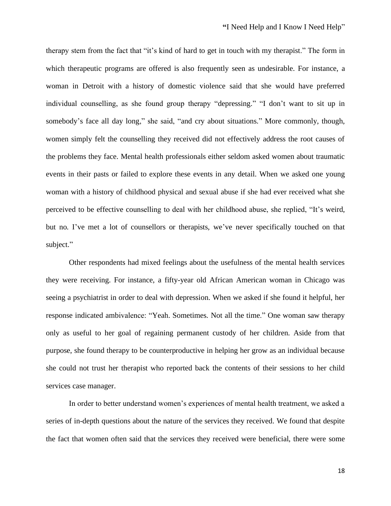therapy stem from the fact that "it's kind of hard to get in touch with my therapist." The form in which therapeutic programs are offered is also frequently seen as undesirable. For instance, a woman in Detroit with a history of domestic violence said that she would have preferred individual counselling, as she found group therapy "depressing." "I don't want to sit up in somebody's face all day long," she said, "and cry about situations." More commonly, though, women simply felt the counselling they received did not effectively address the root causes of the problems they face. Mental health professionals either seldom asked women about traumatic events in their pasts or failed to explore these events in any detail. When we asked one young woman with a history of childhood physical and sexual abuse if she had ever received what she perceived to be effective counselling to deal with her childhood abuse, she replied, "It's weird, but no. I've met a lot of counsellors or therapists, we've never specifically touched on that subject."

Other respondents had mixed feelings about the usefulness of the mental health services they were receiving. For instance, a fifty-year old African American woman in Chicago was seeing a psychiatrist in order to deal with depression. When we asked if she found it helpful, her response indicated ambivalence: "Yeah. Sometimes. Not all the time." One woman saw therapy only as useful to her goal of regaining permanent custody of her children. Aside from that purpose, she found therapy to be counterproductive in helping her grow as an individual because she could not trust her therapist who reported back the contents of their sessions to her child services case manager.

In order to better understand women's experiences of mental health treatment, we asked a series of in-depth questions about the nature of the services they received. We found that despite the fact that women often said that the services they received were beneficial, there were some

18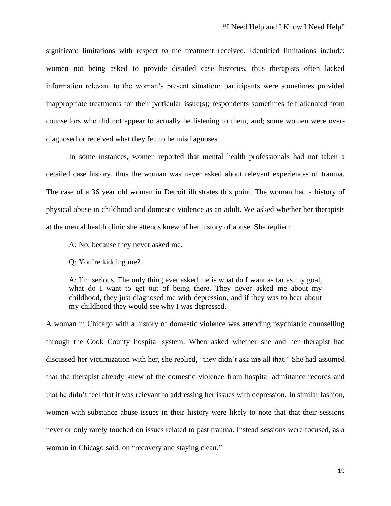significant limitations with respect to the treatment received. Identified limitations include: women not being asked to provide detailed case histories, thus therapists often lacked information relevant to the woman's present situation; participants were sometimes provided inappropriate treatments for their particular issue(s); respondents sometimes felt alienated from counsellors who did not appear to actually be listening to them, and; some women were overdiagnosed or received what they felt to be misdiagnoses.

In some instances, women reported that mental health professionals had not taken a detailed case history, thus the woman was never asked about relevant experiences of trauma. The case of a 36 year old woman in Detroit illustrates this point. The woman had a history of physical abuse in childhood and domestic violence as an adult. We asked whether her therapists at the mental health clinic she attends knew of her history of abuse. She replied:

A: No, because they never asked me.

Q: You're kidding me?

A: I'm serious. The only thing ever asked me is what do I want as far as my goal, what do I want to get out of being there. They never asked me about my childhood, they just diagnosed me with depression, and if they was to hear about my childhood they would see why I was depressed.

A woman in Chicago with a history of domestic violence was attending psychiatric counselling through the Cook County hospital system. When asked whether she and her therapist had discussed her victimization with her, she replied, "they didn't ask me all that." She had assumed that the therapist already knew of the domestic violence from hospital admittance records and that he didn't feel that it was relevant to addressing her issues with depression. In similar fashion, women with substance abuse issues in their history were likely to note that that their sessions never or only rarely touched on issues related to past trauma. Instead sessions were focused, as a woman in Chicago said, on "recovery and staying clean."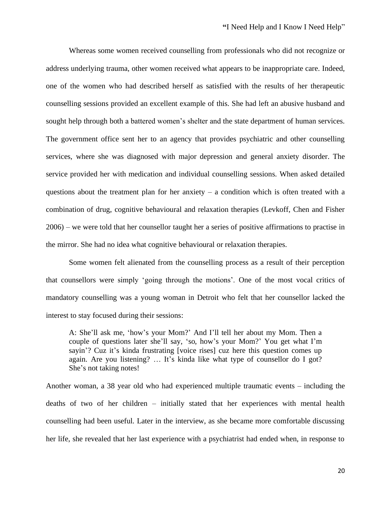Whereas some women received counselling from professionals who did not recognize or address underlying trauma, other women received what appears to be inappropriate care. Indeed, one of the women who had described herself as satisfied with the results of her therapeutic counselling sessions provided an excellent example of this. She had left an abusive husband and sought help through both a battered women's shelter and the state department of human services. The government office sent her to an agency that provides psychiatric and other counselling services, where she was diagnosed with major depression and general anxiety disorder. The service provided her with medication and individual counselling sessions. When asked detailed questions about the treatment plan for her anxiety – a condition which is often treated with a combination of drug, cognitive behavioural and relaxation therapies (Levkoff, Chen and Fisher 2006) – we were told that her counsellor taught her a series of positive affirmations to practise in the mirror. She had no idea what cognitive behavioural or relaxation therapies.

Some women felt alienated from the counselling process as a result of their perception that counsellors were simply 'going through the motions'. One of the most vocal critics of mandatory counselling was a young woman in Detroit who felt that her counsellor lacked the interest to stay focused during their sessions:

A: She'll ask me, 'how's your Mom?' And I'll tell her about my Mom. Then a couple of questions later she'll say, 'so, how's your Mom?' You get what I'm sayin'? Cuz it's kinda frustrating [voice rises] cuz here this question comes up again. Are you listening? … It's kinda like what type of counsellor do I got? She's not taking notes!

Another woman, a 38 year old who had experienced multiple traumatic events – including the deaths of two of her children – initially stated that her experiences with mental health counselling had been useful. Later in the interview, as she became more comfortable discussing her life, she revealed that her last experience with a psychiatrist had ended when, in response to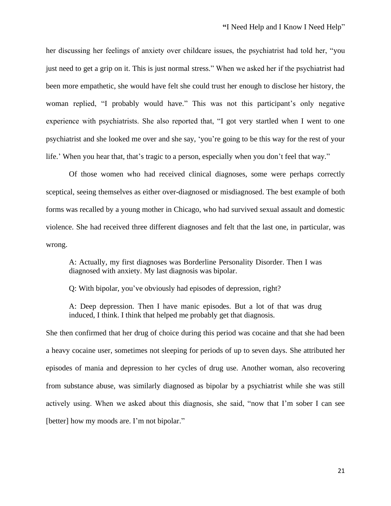her discussing her feelings of anxiety over childcare issues, the psychiatrist had told her, "you just need to get a grip on it. This is just normal stress." When we asked her if the psychiatrist had been more empathetic, she would have felt she could trust her enough to disclose her history, the woman replied, "I probably would have." This was not this participant's only negative experience with psychiatrists. She also reported that, "I got very startled when I went to one psychiatrist and she looked me over and she say, 'you're going to be this way for the rest of your life.' When you hear that, that's tragic to a person, especially when you don't feel that way."

Of those women who had received clinical diagnoses, some were perhaps correctly sceptical, seeing themselves as either over-diagnosed or misdiagnosed. The best example of both forms was recalled by a young mother in Chicago, who had survived sexual assault and domestic violence. She had received three different diagnoses and felt that the last one, in particular, was wrong.

A: Actually, my first diagnoses was Borderline Personality Disorder. Then I was diagnosed with anxiety. My last diagnosis was bipolar.

Q: With bipolar, you've obviously had episodes of depression, right?

A: Deep depression. Then I have manic episodes. But a lot of that was drug induced, I think. I think that helped me probably get that diagnosis.

She then confirmed that her drug of choice during this period was cocaine and that she had been a heavy cocaine user, sometimes not sleeping for periods of up to seven days. She attributed her episodes of mania and depression to her cycles of drug use. Another woman, also recovering from substance abuse, was similarly diagnosed as bipolar by a psychiatrist while she was still actively using. When we asked about this diagnosis, she said, "now that I'm sober I can see [better] how my moods are. I'm not bipolar."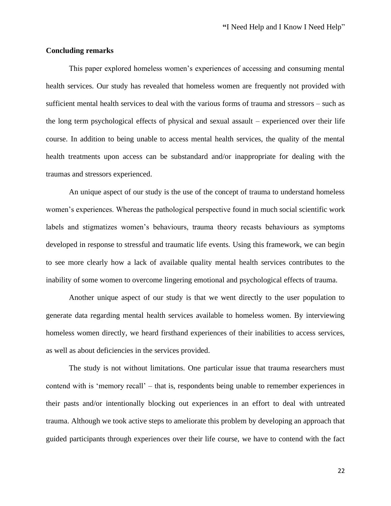### **Concluding remarks**

This paper explored homeless women's experiences of accessing and consuming mental health services. Our study has revealed that homeless women are frequently not provided with sufficient mental health services to deal with the various forms of trauma and stressors – such as the long term psychological effects of physical and sexual assault – experienced over their life course. In addition to being unable to access mental health services, the quality of the mental health treatments upon access can be substandard and/or inappropriate for dealing with the traumas and stressors experienced.

An unique aspect of our study is the use of the concept of trauma to understand homeless women's experiences. Whereas the pathological perspective found in much social scientific work labels and stigmatizes women's behaviours, trauma theory recasts behaviours as symptoms developed in response to stressful and traumatic life events. Using this framework, we can begin to see more clearly how a lack of available quality mental health services contributes to the inability of some women to overcome lingering emotional and psychological effects of trauma.

Another unique aspect of our study is that we went directly to the user population to generate data regarding mental health services available to homeless women. By interviewing homeless women directly, we heard firsthand experiences of their inabilities to access services, as well as about deficiencies in the services provided.

The study is not without limitations. One particular issue that trauma researchers must contend with is 'memory recall' – that is, respondents being unable to remember experiences in their pasts and/or intentionally blocking out experiences in an effort to deal with untreated trauma. Although we took active steps to ameliorate this problem by developing an approach that guided participants through experiences over their life course, we have to contend with the fact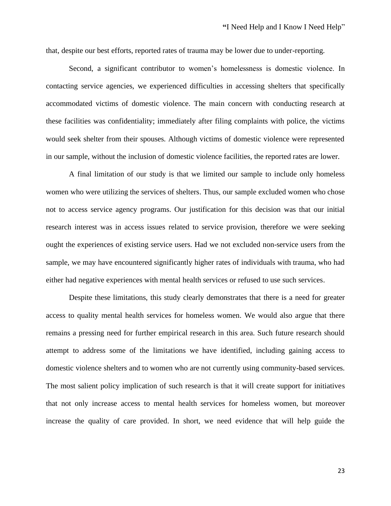that, despite our best efforts, reported rates of trauma may be lower due to under-reporting.

Second, a significant contributor to women's homelessness is domestic violence. In contacting service agencies, we experienced difficulties in accessing shelters that specifically accommodated victims of domestic violence. The main concern with conducting research at these facilities was confidentiality; immediately after filing complaints with police, the victims would seek shelter from their spouses. Although victims of domestic violence were represented in our sample, without the inclusion of domestic violence facilities, the reported rates are lower.

A final limitation of our study is that we limited our sample to include only homeless women who were utilizing the services of shelters. Thus, our sample excluded women who chose not to access service agency programs. Our justification for this decision was that our initial research interest was in access issues related to service provision, therefore we were seeking ought the experiences of existing service users. Had we not excluded non-service users from the sample, we may have encountered significantly higher rates of individuals with trauma, who had either had negative experiences with mental health services or refused to use such services.

Despite these limitations, this study clearly demonstrates that there is a need for greater access to quality mental health services for homeless women. We would also argue that there remains a pressing need for further empirical research in this area. Such future research should attempt to address some of the limitations we have identified, including gaining access to domestic violence shelters and to women who are not currently using community-based services. The most salient policy implication of such research is that it will create support for initiatives that not only increase access to mental health services for homeless women, but moreover increase the quality of care provided. In short, we need evidence that will help guide the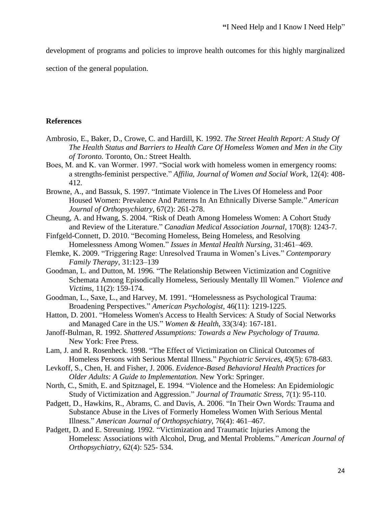development of programs and policies to improve health outcomes for this highly marginalized

section of the general population.

#### **References**

- Ambrosio, E., Baker, D., Crowe, C. and Hardill, K. 1992. *The Street Health Report: A Study Of The Health Status and Barriers to Health Care Of Homeless Women and Men in the City of Toronto.* Toronto, On.: Street Health.
- Boes, M. and K. van Wormer. 1997. "Social work with homeless women in emergency rooms: a strengths-feminist perspective." *Affilia, Journal of Women and Social Work*, 12(4): 408- 412.
- Browne, A., and Bassuk, S. 1997. "Intimate Violence in The Lives Of Homeless and Poor Housed Women: Prevalence And Patterns In An Ethnically Diverse Sample." *American Journal of Orthopsychiatry*, 67(2): 261-278.
- Cheung, A. and Hwang, S. 2004. "Risk of Death Among Homeless Women: A Cohort Study and Review of the Literature." *Canadian Medical Association Journal*, 170(8): 1243-7.
- Finfgeld-Connett, D. 2010. "Becoming Homeless, Being Homeless, and Resolving Homelessness Among Women." *Issues in Mental Health Nursing*, 31:461–469.
- Flemke, K. 2009. "Triggering Rage: Unresolved Trauma in Women's Lives." *Contemporary Family Therapy*, 31:123–139
- Goodman, L. and Dutton, M. 1996. "The Relationship Between Victimization and Cognitive Schemata Among Episodically Homeless, Seriously Mentally Ill Women." *Violence and Victims,* 11(2): 159-174.
- Goodman, L., Saxe, L., and Harvey, M. 1991. "Homelessness as Psychological Trauma: Broadening Perspectives." *American Psychologist*, 46(11): 1219-1225.
- Hatton, D. 2001. "Homeless Women's Access to Health Services: A Study of Social Networks and Managed Care in the US." *Women & Health*, 33(3/4): 167-181.
- Janoff-Bulman, R. 1992. *Shattered Assumptions: Towards a New Psychology of Trauma.* New York: Free Press.
- Lam, J. and R. Rosenheck. 1998. "The Effect of Victimization on Clinical Outcomes of Homeless Persons with Serious Mental Illness." *Psychiatric Services*, 49(5): 678-683.
- Levkoff, S., Chen, H. and Fisher, J. 2006. *Evidence-Based Behavioral Health Practices for Older Adults: A Guide to Implementation.* New York: Springer.
- North, C., Smith, E. and Spitznagel, E. 1994. "Violence and the Homeless: An Epidemiologic Study of Victimization and Aggression." *Journal of Traumatic Stress*, 7(1): 95-110.
- Padgett, D., Hawkins, R., Abrams, C. and Davis, A. 2006. "In Their Own Words: Trauma and Substance Abuse in the Lives of Formerly Homeless Women With Serious Mental Illness." *American Journal of Orthopsychiatry*, 76(4): 461–467.
- Padgett, D. and E. Streuning. 1992. "Victimization and Traumatic Injuries Among the Homeless: Associations with Alcohol, Drug, and Mental Problems." *American Journal of Orthopsychiatry*, 62(4): 525- 534.